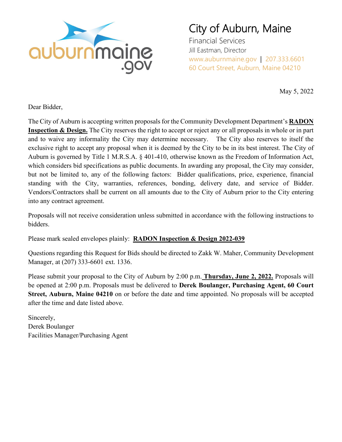

# City of Auburn, Maine

Financial Services Jill Eastman, Director www.auburnmaine.gov | 207.333.6601 60 Court Street, Auburn, Maine 04210

May 5, 2022

Dear Bidder,

The City of Auburn is accepting written proposals for the Community Development Department's **RADON Inspection & Design.** The City reserves the right to accept or reject any or all proposals in whole or in part and to waive any informality the City may determine necessary. The City also reserves to itself the exclusive right to accept any proposal when it is deemed by the City to be in its best interest. The City of Auburn is governed by Title 1 M.R.S.A. § 401-410, otherwise known as the Freedom of Information Act, which considers bid specifications as public documents. In awarding any proposal, the City may consider, but not be limited to, any of the following factors: Bidder qualifications, price, experience, financial standing with the City, warranties, references, bonding, delivery date, and service of Bidder. Vendors/Contractors shall be current on all amounts due to the City of Auburn prior to the City entering into any contract agreement.

Proposals will not receive consideration unless submitted in accordance with the following instructions to bidders.

Please mark sealed envelopes plainly: **RADON Inspection & Design 2022-039**

Questions regarding this Request for Bids should be directed to Zakk W. Maher, Community Development Manager, at (207) 333-6601 ext. 1336.

Please submit your proposal to the City of Auburn by 2:00 p.m. **Thursday, June 2, 2022.** Proposals will be opened at 2:00 p.m. Proposals must be delivered to **Derek Boulanger, Purchasing Agent, 60 Court Street, Auburn, Maine 04210** on or before the date and time appointed. No proposals will be accepted after the time and date listed above.

Sincerely, Derek Boulanger Facilities Manager/Purchasing Agent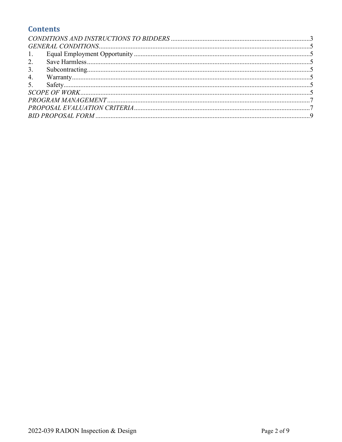## **Contents**

| 1. |  |
|----|--|
| 2. |  |
| 3. |  |
| 4. |  |
|    |  |
|    |  |
|    |  |
|    |  |
|    |  |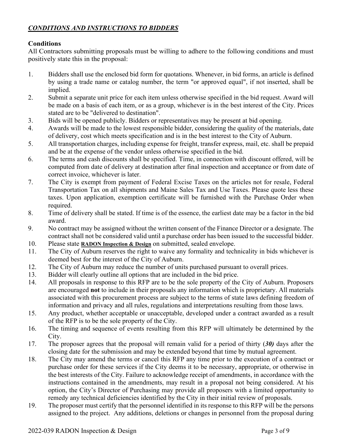## <span id="page-2-0"></span>*CONDITIONS AND INSTRUCTIONS TO BIDDERS*

## **Conditions**

All Contractors submitting proposals must be willing to adhere to the following conditions and must positively state this in the proposal:

- 1. Bidders shall use the enclosed bid form for quotations. Whenever, in bid forms, an article is defined by using a trade name or catalog number, the term "or approved equal", if not inserted, shall be implied.
- 2. Submit a separate unit price for each item unless otherwise specified in the bid request. Award will be made on a basis of each item, or as a group, whichever is in the best interest of the City. Prices stated are to be "delivered to destination".
- 3. Bids will be opened publicly. Bidders or representatives may be present at bid opening.
- 4. Awards will be made to the lowest responsible bidder, considering the quality of the materials, date of delivery, cost which meets specification and is in the best interest to the City of Auburn.
- 5. All transportation charges, including expense for freight, transfer express, mail, etc. shall be prepaid and be at the expense of the vendor unless otherwise specified in the bid.
- 6. The terms and cash discounts shall be specified. Time, in connection with discount offered, will be computed from date of delivery at destination after final inspection and acceptance or from date of correct invoice, whichever is later.
- 7. The City is exempt from payment of Federal Excise Taxes on the articles not for resale, Federal Transportation Tax on all shipments and Maine Sales Tax and Use Taxes. Please quote less these taxes. Upon application, exemption certificate will be furnished with the Purchase Order when required.
- 8. Time of delivery shall be stated. If time is of the essence, the earliest date may be a factor in the bid award.
- 9. No contract may be assigned without the written consent of the Finance Director or a designate. The contract shall not be considered valid until a purchase order has been issued to the successful bidder.
- 10. Please state **RADON Inspection & Design** on submitted, sealed envelope.
- 11. The City of Auburn reserves the right to waive any formality and technicality in bids whichever is deemed best for the interest of the City of Auburn.
- 12. The City of Auburn may reduce the number of units purchased pursuant to overall prices.
- 13. Bidder will clearly outline all options that are included in the bid price.
- 14. All proposals in response to this RFP are to be the sole property of the City of Auburn. Proposers are encouraged **not** to include in their proposals any information which is proprietary. All materials associated with this procurement process are subject to the terms of state laws defining freedom of information and privacy and all rules, regulations and interpretations resulting from those laws.
- 15. Any product, whether acceptable or unacceptable, developed under a contract awarded as a result of the RFP is to be the sole property of the City.
- 16. The timing and sequence of events resulting from this RFP will ultimately be determined by the City.
- 17. The proposer agrees that the proposal will remain valid for a period of thirty (*30)* days after the closing date for the submission and may be extended beyond that time by mutual agreement.
- 18. The City may amend the terms or cancel this RFP any time prior to the execution of a contract or purchase order for these services if the City deems it to be necessary, appropriate, or otherwise in the best interests of the City. Failure to acknowledge receipt of amendments, in accordance with the instructions contained in the amendments, may result in a proposal not being considered. At his option, the City's Director of Purchasing may provide all proposers with a limited opportunity to remedy any technical deficiencies identified by the City in their initial review of proposals.
- 19. The proposer must certify that the personnel identified in its response to this RFP will be the persons assigned to the project. Any additions, deletions or changes in personnel from the proposal during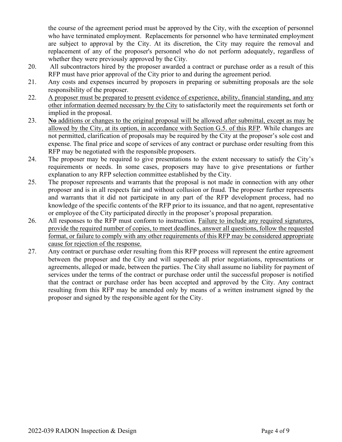the course of the agreement period must be approved by the City, with the exception of personnel who have terminated employment. Replacements for personnel who have terminated employment are subject to approval by the City. At its discretion, the City may require the removal and replacement of any of the proposer's personnel who do not perform adequately, regardless of whether they were previously approved by the City.

- 20. All subcontractors hired by the proposer awarded a contract or purchase order as a result of this RFP must have prior approval of the City prior to and during the agreement period.
- 21. Any costs and expenses incurred by proposers in preparing or submitting proposals are the sole responsibility of the proposer.
- 22. A proposer must be prepared to present evidence of experience, ability, financial standing, and any other information deemed necessary by the City to satisfactorily meet the requirements set forth or implied in the proposal.
- 23. **No** additions or changes to the original proposal will be allowed after submittal, except as may be allowed by the City, at its option, in accordance with Section G.5. of this RFP. While changes are not permitted, clarification of proposals may be required by the City at the proposer's sole cost and expense. The final price and scope of services of any contract or purchase order resulting from this RFP may be negotiated with the responsible proposers.
- 24. The proposer may be required to give presentations to the extent necessary to satisfy the City's requirements or needs. In some cases, proposers may have to give presentations or further explanation to any RFP selection committee established by the City.
- 25. The proposer represents and warrants that the proposal is not made in connection with any other proposer and is in all respects fair and without collusion or fraud. The proposer further represents and warrants that it did not participate in any part of the RFP development process, had no knowledge of the specific contents of the RFP prior to its issuance, and that no agent, representative or employee of the City participated directly in the proposer's proposal preparation.
- 26. All responses to the RFP must conform to instruction. Failure to include any required signatures, provide the required number of copies, to meet deadlines, answer all questions, follow the requested format, or failure to comply with any other requirements of this RFP may be considered appropriate cause for rejection of the response.
- 27. Any contract or purchase order resulting from this RFP process will represent the entire agreement between the proposer and the City and will supersede all prior negotiations, representations or agreements, alleged or made, between the parties. The City shall assume no liability for payment of services under the terms of the contract or purchase order until the successful proposer is notified that the contract or purchase order has been accepted and approved by the City. Any contract resulting from this RFP may be amended only by means of a written instrument signed by the proposer and signed by the responsible agent for the City.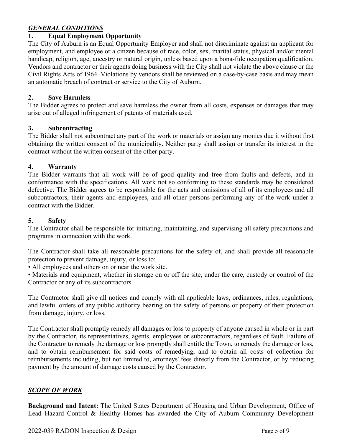## <span id="page-4-0"></span>*GENERAL CONDITIONS*

#### <span id="page-4-1"></span>**1. Equal Employment Opportunity**

The City of Auburn is an Equal Opportunity Employer and shall not discriminate against an applicant for employment, and employee or a citizen because of race, color, sex, marital status, physical and/or mental handicap, religion, age, ancestry or natural origin, unless based upon a bona-fide occupation qualification. Vendors and contractor or their agents doing business with the City shall not violate the above clause or the Civil Rights Acts of 1964. Violations by vendors shall be reviewed on a case-by-case basis and may mean an automatic breach of contract or service to the City of Auburn.

#### <span id="page-4-2"></span>**2. Save Harmless**

The Bidder agrees to protect and save harmless the owner from all costs, expenses or damages that may arise out of alleged infringement of patents of materials used.

#### <span id="page-4-3"></span>**3. Subcontracting**

The Bidder shall not subcontract any part of the work or materials or assign any monies due it without first obtaining the written consent of the municipality. Neither party shall assign or transfer its interest in the contract without the written consent of the other party.

#### <span id="page-4-4"></span>**4. Warranty**

The Bidder warrants that all work will be of good quality and free from faults and defects, and in conformance with the specifications. All work not so conforming to these standards may be considered defective. The Bidder agrees to be responsible for the acts and omissions of all of its employees and all subcontractors, their agents and employees, and all other persons performing any of the work under a contract with the Bidder.

#### <span id="page-4-5"></span>**5. Safety**

The Contractor shall be responsible for initiating, maintaining, and supervising all safety precautions and programs in connection with the work.

The Contractor shall take all reasonable precautions for the safety of, and shall provide all reasonable protection to prevent damage, injury, or loss to:

• All employees and others on or near the work site.

• Materials and equipment, whether in storage on or off the site, under the care, custody or control of the Contractor or any of its subcontractors.

The Contractor shall give all notices and comply with all applicable laws, ordinances, rules, regulations, and lawful orders of any public authority bearing on the safety of persons or property of their protection from damage, injury, or loss.

The Contractor shall promptly remedy all damages or loss to property of anyone caused in whole or in part by the Contractor, its representatives, agents, employees or subcontractors, regardless of fault. Failure of the Contractor to remedy the damage or loss promptly shall entitle the Town, to remedy the damage or loss, and to obtain reimbursement for said costs of remedying, and to obtain all costs of collection for reimbursements including, but not limited to, attorneys' fees directly from the Contractor, or by reducing payment by the amount of damage costs caused by the Contractor.

## <span id="page-4-6"></span>*SCOPE OF WORK*

**Background and Intent:** The United States Department of Housing and Urban Development, Office of Lead Hazard Control & Healthy Homes has awarded the City of Auburn Community Development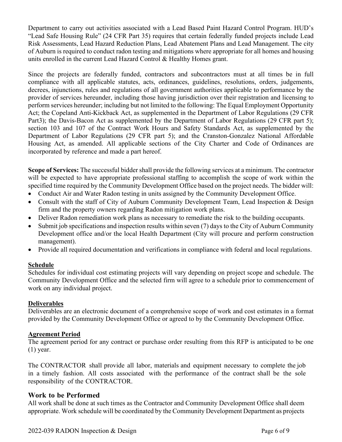Department to carry out activities associated with a Lead Based Paint Hazard Control Program. HUD's "Lead Safe Housing Rule" (24 CFR Part 35) requires that certain federally funded projects include Lead Risk Assessments, Lead Hazard Reduction Plans, Lead Abatement Plans and Lead Management. The city of Auburn is required to conduct radon testing and mitigations where appropriate for all homes and housing units enrolled in the current Lead Hazard Control & Healthy Homes grant.

Since the projects are federally funded, contractors and subcontractors must at all times be in full compliance with all applicable statutes, acts, ordinances, guidelines, resolutions, orders, judgements, decrees, injunctions, rules and regulations of all government authorities applicable to performance by the provider of services hereunder, including those having jurisdiction over their registration and licensing to perform services hereunder; including but not limited to the following: The Equal Employment Opportunity Act; the Copeland Anti-Kickback Act, as supplemented in the Department of Labor Regulations (29 CFR Part3); the Davis-Bacon Act as supplemented by the Department of Labor Regulations (29 CFR part 5); section 103 and 107 of the Contract Work Hours and Safety Standards Act, as supplemented by the Department of Labor Regulations (29 CFR part 5); and the Cranston-Gonzalez National Affordable Housing Act, as amended. All applicable sections of the City Charter and Code of Ordinances are incorporated by reference and made a part hereof.

**Scope of Services:** The successful bidder shall provide the following services at a minimum. The contractor will be expected to have appropriate professional staffing to accomplish the scope of work within the specified time required by the Community Development Office based on the project needs. The bidder will:

- Conduct Air and Water Radon testing in units assigned by the Community Development Office.
- Consult with the staff of City of Auburn Community Development Team, Lead Inspection & Design firm and the property owners regarding Radon mitigation work plans.
- Deliver Radon remediation work plans as necessary to remediate the risk to the building occupants.
- Submit job specifications and inspection results within seven (7) days to the City of Auburn Community Development office and/or the local Health Department (City will procure and perform construction management).
- Provide all required documentation and verifications in compliance with federal and local regulations.

## **Schedule**

Schedules for individual cost estimating projects will vary depending on project scope and schedule. The Community Development Office and the selected firm will agree to a schedule prior to commencement of work on any individual project.

## **Deliverables**

Deliverables are an electronic document of a comprehensive scope of work and cost estimates in a format provided by the Community Development Office or agreed to by the Community Development Office.

## **Agreement Period**

The agreement period for any contract or purchase order resulting from this RFP is anticipated to be one (1) year.

The CONTRACTOR shall provide all labor, materials and equipment necessary to complete the job in a timely fashion. All costs associated with the performance of the contract shall be the sole responsibility of the CONTRACTOR.

## **Work to be Performed**

All work shall be done at such times as the Contractor and Community Development Office shall deem appropriate. Work schedule will be coordinated by the Community Development Department as projects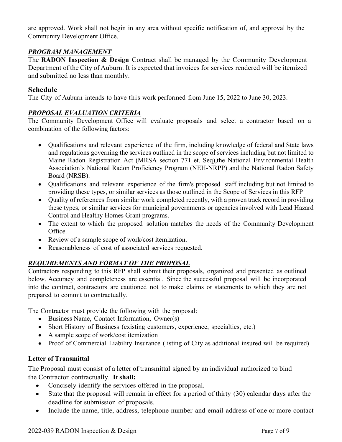are approved. Work shall not begin in any area without specific notification of, and approval by the Community Development Office.

## <span id="page-6-0"></span>*PROGRAM MANAGEMENT*

The **RADON Inspection & Design** Contract shall be managed by the Community Development Department of the City of Auburn. It is expected that invoices for services rendered will be itemized and submitted no less than monthly.

## **Schedule**

The City of Auburn intends to have this work performed from June 15, 2022 to June 30, 2023.

## <span id="page-6-1"></span>*PROPOSAL EVALUATION CRITERIA*

The Community Development Office will evaluate proposals and select a contractor based on a combination of the following factors:

- Qualifications and relevant experience of the firm, including knowledge of federal and State laws and regulations governing the services outlined in the scope of services including but not limited to Maine Radon Registration Act (MRSA section 771 et. Seq),the National Environmental Health Association's National Radon Proficiency Program (NEH-NRPP) and the National Radon Safety Board (NRSB).
- Qualifications and relevant experience of the firm's proposed staff including but not limited to providing these types, or similar services as those outlined in the Scope of Services in this RFP
- Quality of references from similar work completed recently, with a proven track record in providing these types, or similar services for municipal governments or agencies involved with Lead Hazard Control and Healthy Homes Grant programs.
- The extent to which the proposed solution matches the needs of the Community Development Office.
- Review of a sample scope of work/cost itemization.
- Reasonableness of cost of associated services requested.

## *REQUIREMENTS AND FORMAT OF THE PROPOSAL*

Contractors responding to this RFP shall submit their proposals, organized and presented as outlined below. Accuracy and completeness are essential. Since the successful proposal will be incorporated into the contract, contractors are cautioned not to make claims or statements to which they are not prepared to commit to contractually.

The Contractor must provide the following with the proposal:

- Business Name, Contact Information, Owner(s)
- Short History of Business (existing customers, experience, specialties, etc.)
- A sample scope of work/cost itemization
- Proof of Commercial Liability Insurance (listing of City as additional insured will be required)

## **Letter of Transmittal**

The Proposal must consist of a letter of transmittal signed by an individual authorized to bind the Contractor contractually. **Itshall:**

- Concisely identify the services offered in the proposal.
- State that the proposal will remain in effect for a period of thirty (30) calendar days after the deadline for submission of proposals.
- Include the name, title, address, telephone number and email address of one or more contact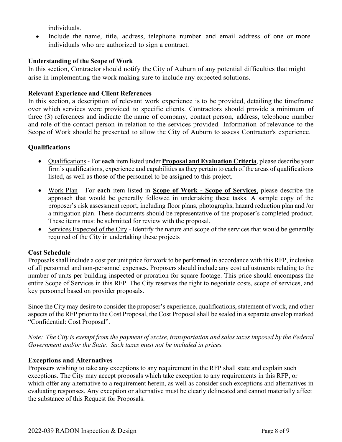individuals.

Include the name, title, address, telephone number and email address of one or more individuals who are authorized to sign a contract.

## **Understanding of the Scope of Work**

In this section, Contractor should notify the City of Auburn of any potential difficulties that might arise in implementing the work making sure to include any expected solutions.

## **Relevant Experience and Client References**

In this section, a description of relevant work experience is to be provided, detailing the timeframe over which services were provided to specific clients. Contractors should provide a minimum of three (3) references and indicate the name of company, contact person, address, telephone number and role of the contact person in relation to the services provided. Information of relevance to the Scope of Work should be presented to allow the City of Auburn to assess Contractor's experience.

## **Qualifications**

- Qualifications For **each** item listed under **Proposal and Evaluation Criteria**, please describe your firm's qualifications, experience and capabilities as they pertain to each of the areas of qualifications listed, as well as those of the personnel to be assigned to this project.
- Work-Plan For **each** item listed in **Scope of Work - Scope of Services**, please describe the approach that would be generally followed in undertaking these tasks. A sample copy of the proposer's risk assessment report, including floor plans, photographs, hazard reduction plan and /or a mitigation plan. These documents should be representative of the proposer's completed product. These items must be submitted for review with the proposal.
- Services Expected of the City Identify the nature and scope of the services that would be generally required of the City in undertaking these projects

## **Cost Schedule**

Proposals shall include a cost per unit price for work to be performed in accordance with this RFP, inclusive of all personnel and non-personnel expenses. Proposers should include any cost adjustments relating to the number of units per building inspected or proration for square footage. This price should encompass the entire Scope of Services in this RFP. The City reserves the right to negotiate costs, scope of services, and key personnel based on provider proposals.

Since the City may desire to consider the proposer's experience, qualifications, statement of work, and other aspects of the RFP prior to the Cost Proposal, the Cost Proposal shall be sealed in a separate envelop marked "Confidential: Cost Proposal".

*Note: The City is exempt from the payment of excise, transportation and sales taxes imposed by the Federal Government and/or the State. Such taxes must not be included in prices.*

## **Exceptions and Alternatives**

Proposers wishing to take any exceptions to any requirement in the RFP shall state and explain such exceptions. The City may accept proposals which take exception to any requirements in this RFP, or which offer any alternative to a requirement herein, as well as consider such exceptions and alternatives in evaluating responses. Any exception or alternative must be clearly delineated and cannot materially affect the substance of this Request for Proposals.